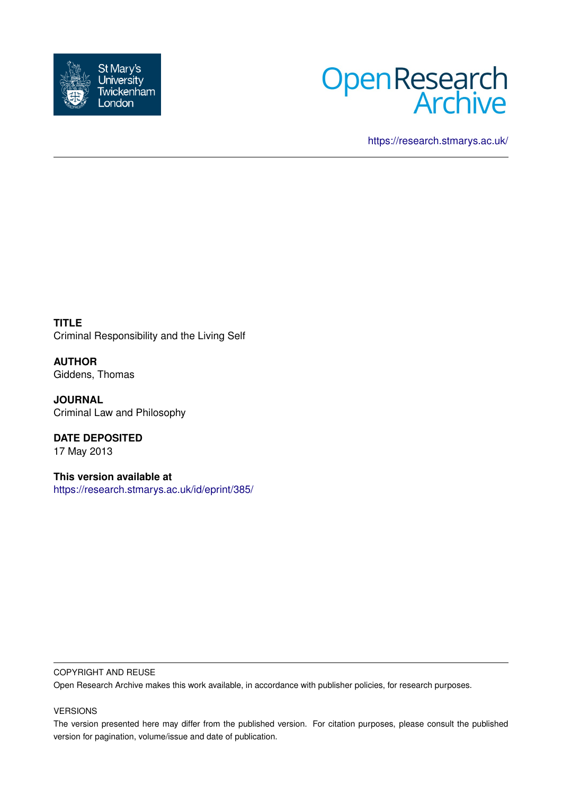



<https://research.stmarys.ac.uk/>

**TITLE** Criminal Responsibility and the Living Self

**AUTHOR** Giddens, Thomas

**JOURNAL** Criminal Law and Philosophy

**DATE DEPOSITED** 17 May 2013

**This version available at** <https://research.stmarys.ac.uk/id/eprint/385/>

#### COPYRIGHT AND REUSE

Open Research Archive makes this work available, in accordance with publisher policies, for research purposes.

#### VERSIONS

The version presented here may differ from the published version. For citation purposes, please consult the published version for pagination, volume/issue and date of publication.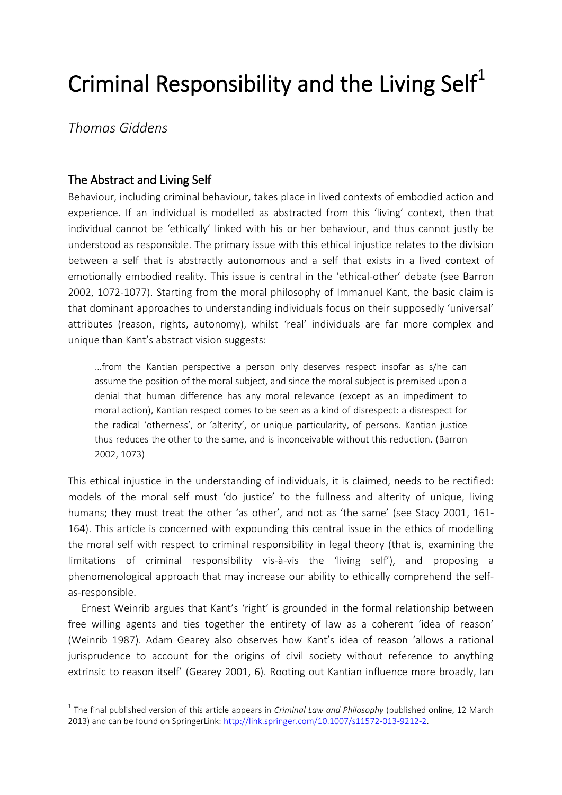# Criminal Responsibility and the Living Self $^1$

*Thomas Giddens*

## The Abstract and Living Self

Behaviour, including criminal behaviour, takes place in lived contexts of embodied action and experience. If an individual is modelled as abstracted from this 'living' context, then that individual cannot be 'ethically' linked with his or her behaviour, and thus cannot justly be understood as responsible. The primary issue with this ethical injustice relates to the division between a self that is abstractly autonomous and a self that exists in a lived context of emotionally embodied reality. This issue is central in the 'ethical-other' debate (see Barron 2002, 1072-1077). Starting from the moral philosophy of Immanuel Kant, the basic claim is that dominant approaches to understanding individuals focus on their supposedly 'universal' attributes (reason, rights, autonomy), whilst 'real' individuals are far more complex and unique than Kant's abstract vision suggests:

…from the Kantian perspective a person only deserves respect insofar as s/he can assume the position of the moral subject, and since the moral subject is premised upon a denial that human difference has any moral relevance (except as an impediment to moral action), Kantian respect comes to be seen as a kind of disrespect: a disrespect for the radical 'otherness', or 'alterity', or unique particularity, of persons. Kantian justice thus reduces the other to the same, and is inconceivable without this reduction. (Barron 2002, 1073)

This ethical injustice in the understanding of individuals, it is claimed, needs to be rectified: models of the moral self must 'do justice' to the fullness and alterity of unique, living humans; they must treat the other 'as other', and not as 'the same' (see Stacy 2001, 161- 164). This article is concerned with expounding this central issue in the ethics of modelling the moral self with respect to criminal responsibility in legal theory (that is, examining the limitations of criminal responsibility vis-à-vis the 'living self'), and proposing a phenomenological approach that may increase our ability to ethically comprehend the selfas-responsible.

Ernest Weinrib argues that Kant's 'right' is grounded in the formal relationship between free willing agents and ties together the entirety of law as a coherent 'idea of reason' (Weinrib 1987). Adam Gearey also observes how Kant's idea of reason 'allows a rational jurisprudence to account for the origins of civil society without reference to anything extrinsic to reason itself' (Gearey 2001, 6). Rooting out Kantian influence more broadly, Ian

<sup>&</sup>lt;sup>1</sup> The final published version of this article appears in *Criminal Law and Philosophy* (published online, 12 March 2013) and can be found on SpringerLink: [http://link.springer.com/10.1007/s11572-013-9212-2.](http://link.springer.com/10.1007/s11572-013-9212-2)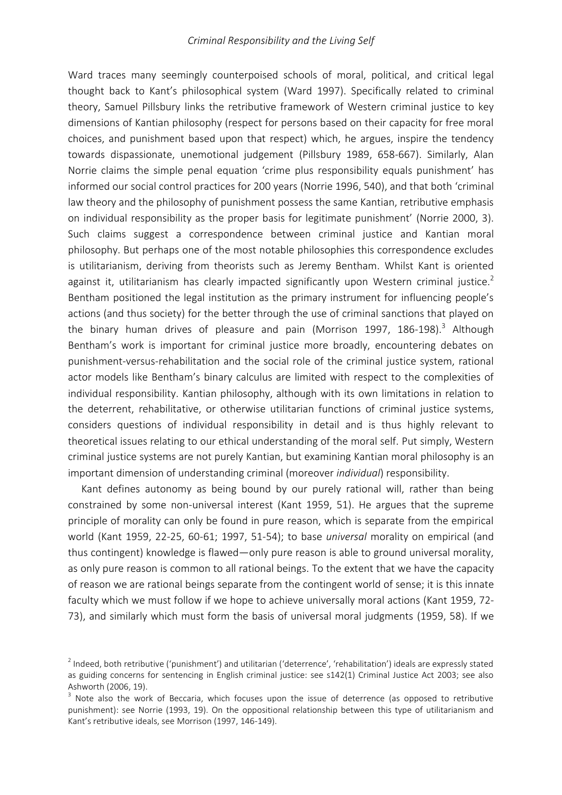Ward traces many seemingly counterpoised schools of moral, political, and critical legal thought back to Kant's philosophical system (Ward 1997). Specifically related to criminal theory, Samuel Pillsbury links the retributive framework of Western criminal justice to key dimensions of Kantian philosophy (respect for persons based on their capacity for free moral choices, and punishment based upon that respect) which, he argues, inspire the tendency towards dispassionate, unemotional judgement (Pillsbury 1989, 658-667). Similarly, Alan Norrie claims the simple penal equation 'crime plus responsibility equals punishment' has informed our social control practices for 200 years (Norrie 1996, 540), and that both 'criminal law theory and the philosophy of punishment possess the same Kantian, retributive emphasis on individual responsibility as the proper basis for legitimate punishment' (Norrie 2000, 3). Such claims suggest a correspondence between criminal justice and Kantian moral philosophy. But perhaps one of the most notable philosophies this correspondence excludes is utilitarianism, deriving from theorists such as Jeremy Bentham. Whilst Kant is oriented against it, utilitarianism has clearly impacted significantly upon Western criminal justice.<sup>2</sup> Bentham positioned the legal institution as the primary instrument for influencing people's actions (and thus society) for the better through the use of criminal sanctions that played on the binary human drives of pleasure and pain (Morrison 1997, 186-198).<sup>3</sup> Although Bentham's work is important for criminal justice more broadly, encountering debates on punishment-versus-rehabilitation and the social role of the criminal justice system, rational actor models like Bentham's binary calculus are limited with respect to the complexities of individual responsibility. Kantian philosophy, although with its own limitations in relation to the deterrent, rehabilitative, or otherwise utilitarian functions of criminal justice systems, considers questions of individual responsibility in detail and is thus highly relevant to theoretical issues relating to our ethical understanding of the moral self. Put simply, Western criminal justice systems are not purely Kantian, but examining Kantian moral philosophy is an important dimension of understanding criminal (moreover *individual*) responsibility.

Kant defines autonomy as being bound by our purely rational will, rather than being constrained by some non-universal interest (Kant 1959, 51). He argues that the supreme principle of morality can only be found in pure reason, which is separate from the empirical world (Kant 1959, 22-25, 60-61; 1997, 51-54); to base *universal* morality on empirical (and thus contingent) knowledge is flawed—only pure reason is able to ground universal morality, as only pure reason is common to all rational beings. To the extent that we have the capacity of reason we are rational beings separate from the contingent world of sense; it is this innate faculty which we must follow if we hope to achieve universally moral actions (Kant 1959, 72- 73), and similarly which must form the basis of universal moral judgments (1959, 58). If we

 $2$  Indeed, both retributive ('punishment') and utilitarian ('deterrence', 'rehabilitation') ideals are expressly stated as guiding concerns for sentencing in English criminal justice: see s142(1) Criminal Justice Act 2003; see also Ashworth (2006, 19).

<sup>3</sup> Note also the work of Beccaria, which focuses upon the issue of deterrence (as opposed to retributive punishment): see Norrie (1993, 19). On the oppositional relationship between this type of utilitarianism and Kant's retributive ideals, see Morrison (1997, 146-149).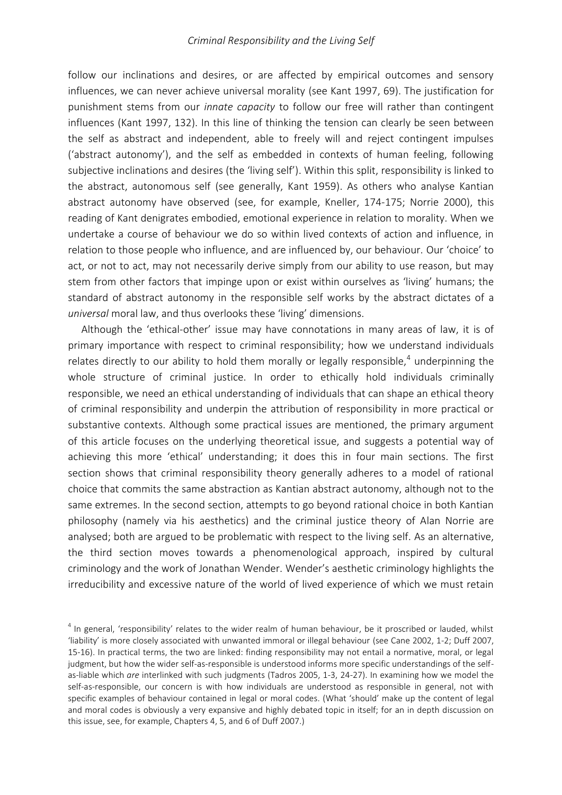follow our inclinations and desires, or are affected by empirical outcomes and sensory influences, we can never achieve universal morality (see Kant 1997, 69). The justification for punishment stems from our *innate capacity* to follow our free will rather than contingent influences (Kant 1997, 132). In this line of thinking the tension can clearly be seen between the self as abstract and independent, able to freely will and reject contingent impulses ('abstract autonomy'), and the self as embedded in contexts of human feeling, following subjective inclinations and desires (the 'living self'). Within this split, responsibility is linked to the abstract, autonomous self (see generally, Kant 1959). As others who analyse Kantian abstract autonomy have observed (see, for example, Kneller, 174-175; Norrie 2000), this reading of Kant denigrates embodied, emotional experience in relation to morality. When we undertake a course of behaviour we do so within lived contexts of action and influence, in relation to those people who influence, and are influenced by, our behaviour. Our 'choice' to act, or not to act, may not necessarily derive simply from our ability to use reason, but may stem from other factors that impinge upon or exist within ourselves as 'living' humans; the standard of abstract autonomy in the responsible self works by the abstract dictates of a *universal* moral law, and thus overlooks these 'living' dimensions.

Although the 'ethical-other' issue may have connotations in many areas of law, it is of primary importance with respect to criminal responsibility; how we understand individuals relates directly to our ability to hold them morally or legally responsible, $<sup>4</sup>$  underpinning the</sup> whole structure of criminal justice. In order to ethically hold individuals criminally responsible, we need an ethical understanding of individuals that can shape an ethical theory of criminal responsibility and underpin the attribution of responsibility in more practical or substantive contexts. Although some practical issues are mentioned, the primary argument of this article focuses on the underlying theoretical issue, and suggests a potential way of achieving this more 'ethical' understanding; it does this in four main sections. The first section shows that criminal responsibility theory generally adheres to a model of rational choice that commits the same abstraction as Kantian abstract autonomy, although not to the same extremes. In the second section, attempts to go beyond rational choice in both Kantian philosophy (namely via his aesthetics) and the criminal justice theory of Alan Norrie are analysed; both are argued to be problematic with respect to the living self. As an alternative, the third section moves towards a phenomenological approach, inspired by cultural criminology and the work of Jonathan Wender. Wender's aesthetic criminology highlights the irreducibility and excessive nature of the world of lived experience of which we must retain

 $<sup>4</sup>$  In general, 'responsibility' relates to the wider realm of human behaviour, be it proscribed or lauded, whilst</sup> 'liability' is more closely associated with unwanted immoral or illegal behaviour (see Cane 2002, 1-2; Duff 2007, 15-16). In practical terms, the two are linked: finding responsibility may not entail a normative, moral, or legal judgment, but how the wider self-as-responsible is understood informs more specific understandings of the selfas-liable which *are* interlinked with such judgments (Tadros 2005, 1-3, 24-27). In examining how we model the self-as-responsible, our concern is with how individuals are understood as responsible in general, not with specific examples of behaviour contained in legal or moral codes. (What 'should' make up the content of legal and moral codes is obviously a very expansive and highly debated topic in itself; for an in depth discussion on this issue, see, for example, Chapters 4, 5, and 6 of Duff 2007.)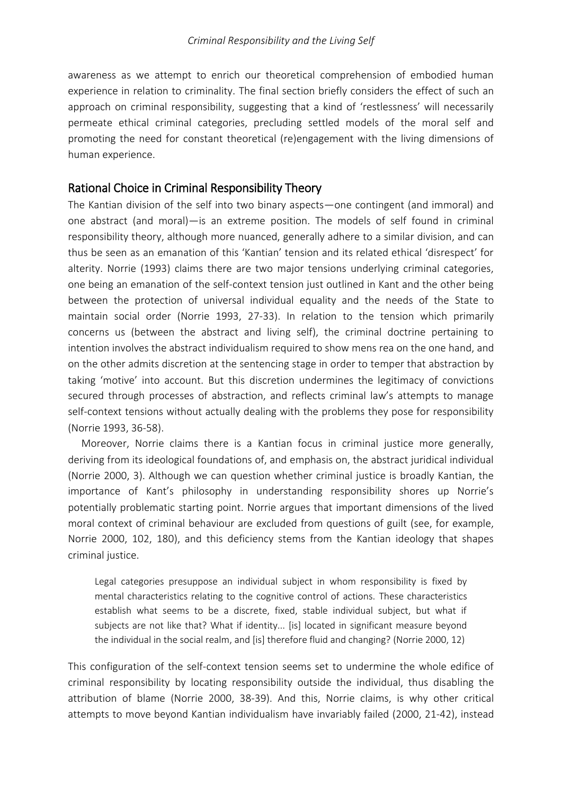awareness as we attempt to enrich our theoretical comprehension of embodied human experience in relation to criminality. The final section briefly considers the effect of such an approach on criminal responsibility, suggesting that a kind of 'restlessness' will necessarily permeate ethical criminal categories, precluding settled models of the moral self and promoting the need for constant theoretical (re)engagement with the living dimensions of human experience.

## Rational Choice in Criminal Responsibility Theory

The Kantian division of the self into two binary aspects—one contingent (and immoral) and one abstract (and moral)—is an extreme position. The models of self found in criminal responsibility theory, although more nuanced, generally adhere to a similar division, and can thus be seen as an emanation of this 'Kantian' tension and its related ethical 'disrespect' for alterity. Norrie (1993) claims there are two major tensions underlying criminal categories, one being an emanation of the self-context tension just outlined in Kant and the other being between the protection of universal individual equality and the needs of the State to maintain social order (Norrie 1993, 27-33). In relation to the tension which primarily concerns us (between the abstract and living self), the criminal doctrine pertaining to intention involves the abstract individualism required to show mens rea on the one hand, and on the other admits discretion at the sentencing stage in order to temper that abstraction by taking 'motive' into account. But this discretion undermines the legitimacy of convictions secured through processes of abstraction, and reflects criminal law's attempts to manage self-context tensions without actually dealing with the problems they pose for responsibility (Norrie 1993, 36-58).

Moreover, Norrie claims there is a Kantian focus in criminal justice more generally, deriving from its ideological foundations of, and emphasis on, the abstract juridical individual (Norrie 2000, 3). Although we can question whether criminal justice is broadly Kantian, the importance of Kant's philosophy in understanding responsibility shores up Norrie's potentially problematic starting point. Norrie argues that important dimensions of the lived moral context of criminal behaviour are excluded from questions of guilt (see, for example, Norrie 2000, 102, 180), and this deficiency stems from the Kantian ideology that shapes criminal justice.

Legal categories presuppose an individual subject in whom responsibility is fixed by mental characteristics relating to the cognitive control of actions. These characteristics establish what seems to be a discrete, fixed, stable individual subject, but what if subjects are not like that? What if identity... [is] located in significant measure beyond the individual in the social realm, and [is] therefore fluid and changing? (Norrie 2000, 12)

This configuration of the self-context tension seems set to undermine the whole edifice of criminal responsibility by locating responsibility outside the individual, thus disabling the attribution of blame (Norrie 2000, 38-39). And this, Norrie claims, is why other critical attempts to move beyond Kantian individualism have invariably failed (2000, 21-42), instead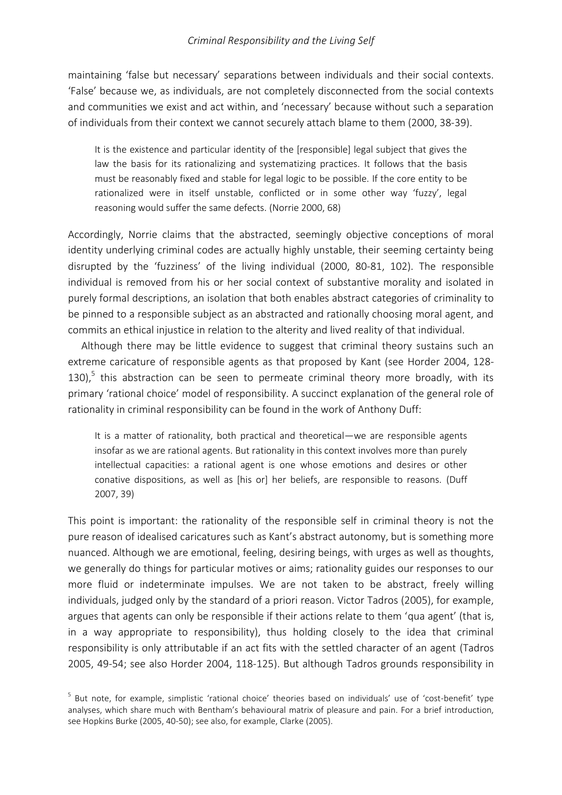maintaining 'false but necessary' separations between individuals and their social contexts. 'False' because we, as individuals, are not completely disconnected from the social contexts and communities we exist and act within, and 'necessary' because without such a separation of individuals from their context we cannot securely attach blame to them (2000, 38-39).

It is the existence and particular identity of the [responsible] legal subject that gives the law the basis for its rationalizing and systematizing practices. It follows that the basis must be reasonably fixed and stable for legal logic to be possible. If the core entity to be rationalized were in itself unstable, conflicted or in some other way 'fuzzy', legal reasoning would suffer the same defects. (Norrie 2000, 68)

Accordingly, Norrie claims that the abstracted, seemingly objective conceptions of moral identity underlying criminal codes are actually highly unstable, their seeming certainty being disrupted by the 'fuzziness' of the living individual (2000, 80-81, 102). The responsible individual is removed from his or her social context of substantive morality and isolated in purely formal descriptions, an isolation that both enables abstract categories of criminality to be pinned to a responsible subject as an abstracted and rationally choosing moral agent, and commits an ethical injustice in relation to the alterity and lived reality of that individual.

Although there may be little evidence to suggest that criminal theory sustains such an extreme caricature of responsible agents as that proposed by Kant (see Horder 2004, 128- 130),<sup>5</sup> this abstraction can be seen to permeate criminal theory more broadly, with its primary 'rational choice' model of responsibility. A succinct explanation of the general role of rationality in criminal responsibility can be found in the work of Anthony Duff:

It is a matter of rationality, both practical and theoretical—we are responsible agents insofar as we are rational agents. But rationality in this context involves more than purely intellectual capacities: a rational agent is one whose emotions and desires or other conative dispositions, as well as [his or] her beliefs, are responsible to reasons. (Duff 2007, 39)

This point is important: the rationality of the responsible self in criminal theory is not the pure reason of idealised caricatures such as Kant's abstract autonomy, but is something more nuanced. Although we are emotional, feeling, desiring beings, with urges as well as thoughts, we generally do things for particular motives or aims; rationality guides our responses to our more fluid or indeterminate impulses. We are not taken to be abstract, freely willing individuals, judged only by the standard of a priori reason. Victor Tadros (2005), for example, argues that agents can only be responsible if their actions relate to them 'qua agent' (that is, in a way appropriate to responsibility), thus holding closely to the idea that criminal responsibility is only attributable if an act fits with the settled character of an agent (Tadros 2005, 49-54; see also Horder 2004, 118-125). But although Tadros grounds responsibility in

<sup>&</sup>lt;sup>5</sup> But note, for example, simplistic 'rational choice' theories based on individuals' use of 'cost-benefit' type analyses, which share much with Bentham's behavioural matrix of pleasure and pain. For a brief introduction, see Hopkins Burke (2005, 40-50); see also, for example, Clarke (2005).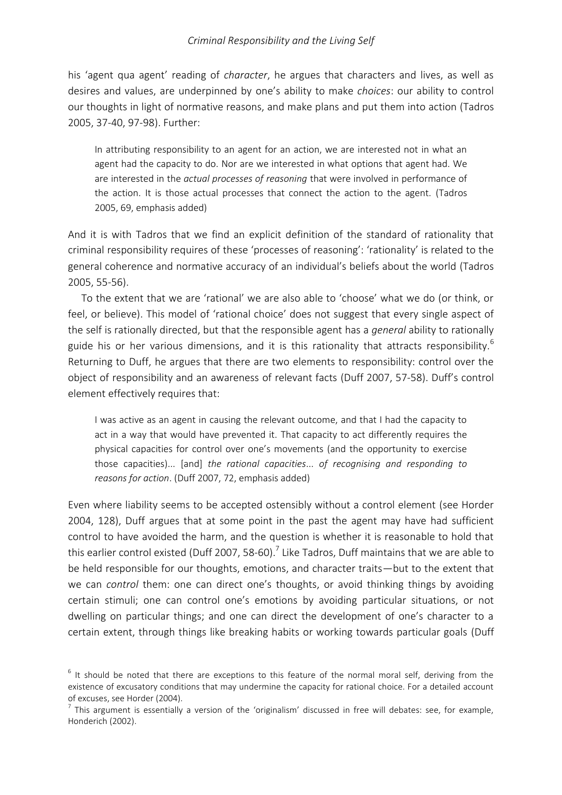his 'agent qua agent' reading of *character*, he argues that characters and lives, as well as desires and values, are underpinned by one's ability to make *choices*: our ability to control our thoughts in light of normative reasons, and make plans and put them into action (Tadros 2005, 37-40, 97-98). Further:

In attributing responsibility to an agent for an action, we are interested not in what an agent had the capacity to do. Nor are we interested in what options that agent had. We are interested in the *actual processes of reasoning* that were involved in performance of the action. It is those actual processes that connect the action to the agent. (Tadros 2005, 69, emphasis added)

And it is with Tadros that we find an explicit definition of the standard of rationality that criminal responsibility requires of these 'processes of reasoning': 'rationality' is related to the general coherence and normative accuracy of an individual's beliefs about the world (Tadros 2005, 55-56).

To the extent that we are 'rational' we are also able to 'choose' what we do (or think, or feel, or believe). This model of 'rational choice' does not suggest that every single aspect of the self is rationally directed, but that the responsible agent has a *general* ability to rationally guide his or her various dimensions, and it is this rationality that attracts responsibility.<sup>6</sup> Returning to Duff, he argues that there are two elements to responsibility: control over the object of responsibility and an awareness of relevant facts (Duff 2007, 57-58). Duff's control element effectively requires that:

I was active as an agent in causing the relevant outcome, and that I had the capacity to act in a way that would have prevented it. That capacity to act differently requires the physical capacities for control over one's movements (and the opportunity to exercise those capacities)... [and] *the rational capacities*... *of recognising and responding to reasons for action*. (Duff 2007, 72, emphasis added)

Even where liability seems to be accepted ostensibly without a control element (see Horder 2004, 128), Duff argues that at some point in the past the agent may have had sufficient control to have avoided the harm, and the question is whether it is reasonable to hold that this earlier control existed (Duff 2007, 58-60).<sup>7</sup> Like Tadros, Duff maintains that we are able to be held responsible for our thoughts, emotions, and character traits—but to the extent that we can *control* them: one can direct one's thoughts, or avoid thinking things by avoiding certain stimuli; one can control one's emotions by avoiding particular situations, or not dwelling on particular things; and one can direct the development of one's character to a certain extent, through things like breaking habits or working towards particular goals (Duff

 $<sup>6</sup>$  It should be noted that there are exceptions to this feature of the normal moral self, deriving from the</sup> existence of excusatory conditions that may undermine the capacity for rational choice. For a detailed account of excuses, see Horder (2004).

 $^7$  This argument is essentially a version of the 'originalism' discussed in free will debates: see, for example, Honderich (2002).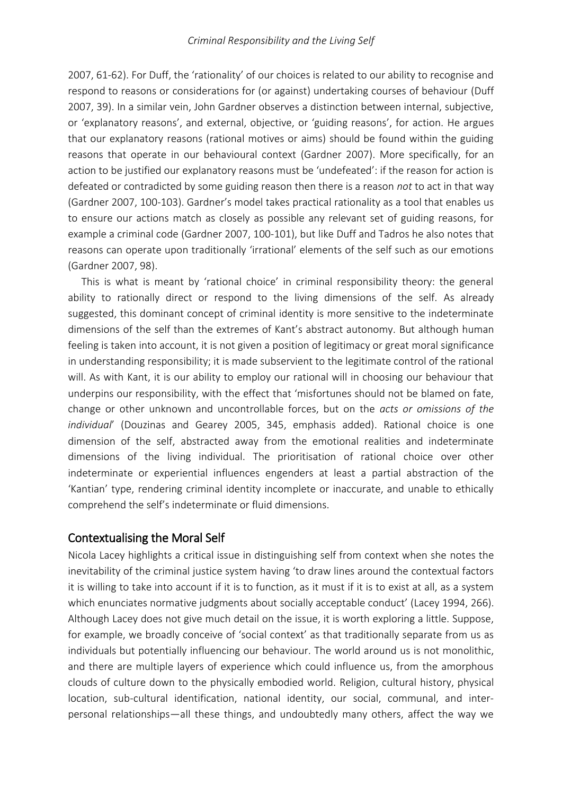2007, 61-62). For Duff, the 'rationality' of our choices is related to our ability to recognise and respond to reasons or considerations for (or against) undertaking courses of behaviour (Duff 2007, 39). In a similar vein, John Gardner observes a distinction between internal, subjective, or 'explanatory reasons', and external, objective, or 'guiding reasons', for action. He argues that our explanatory reasons (rational motives or aims) should be found within the guiding reasons that operate in our behavioural context (Gardner 2007). More specifically, for an action to be justified our explanatory reasons must be 'undefeated': if the reason for action is defeated or contradicted by some guiding reason then there is a reason *not* to act in that way (Gardner 2007, 100-103). Gardner's model takes practical rationality as a tool that enables us to ensure our actions match as closely as possible any relevant set of guiding reasons, for example a criminal code (Gardner 2007, 100-101), but like Duff and Tadros he also notes that reasons can operate upon traditionally 'irrational' elements of the self such as our emotions (Gardner 2007, 98).

This is what is meant by 'rational choice' in criminal responsibility theory: the general ability to rationally direct or respond to the living dimensions of the self. As already suggested, this dominant concept of criminal identity is more sensitive to the indeterminate dimensions of the self than the extremes of Kant's abstract autonomy. But although human feeling is taken into account, it is not given a position of legitimacy or great moral significance in understanding responsibility; it is made subservient to the legitimate control of the rational will. As with Kant, it is our ability to employ our rational will in choosing our behaviour that underpins our responsibility, with the effect that 'misfortunes should not be blamed on fate, change or other unknown and uncontrollable forces, but on the *acts or omissions of the individual*' (Douzinas and Gearey 2005, 345, emphasis added). Rational choice is one dimension of the self, abstracted away from the emotional realities and indeterminate dimensions of the living individual. The prioritisation of rational choice over other indeterminate or experiential influences engenders at least a partial abstraction of the 'Kantian' type, rendering criminal identity incomplete or inaccurate, and unable to ethically comprehend the self's indeterminate or fluid dimensions.

## Contextualising the Moral Self

Nicola Lacey highlights a critical issue in distinguishing self from context when she notes the inevitability of the criminal justice system having 'to draw lines around the contextual factors it is willing to take into account if it is to function, as it must if it is to exist at all, as a system which enunciates normative judgments about socially acceptable conduct' (Lacey 1994, 266). Although Lacey does not give much detail on the issue, it is worth exploring a little. Suppose, for example, we broadly conceive of 'social context' as that traditionally separate from us as individuals but potentially influencing our behaviour. The world around us is not monolithic, and there are multiple layers of experience which could influence us, from the amorphous clouds of culture down to the physically embodied world. Religion, cultural history, physical location, sub-cultural identification, national identity, our social, communal, and interpersonal relationships—all these things, and undoubtedly many others, affect the way we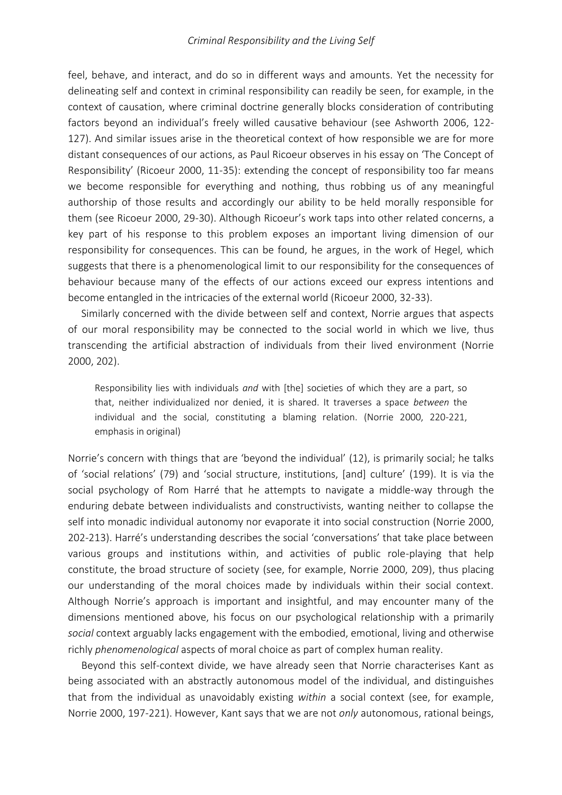feel, behave, and interact, and do so in different ways and amounts. Yet the necessity for delineating self and context in criminal responsibility can readily be seen, for example, in the context of causation, where criminal doctrine generally blocks consideration of contributing factors beyond an individual's freely willed causative behaviour (see Ashworth 2006, 122- 127). And similar issues arise in the theoretical context of how responsible we are for more distant consequences of our actions, as Paul Ricoeur observes in his essay on 'The Concept of Responsibility' (Ricoeur 2000, 11-35): extending the concept of responsibility too far means we become responsible for everything and nothing, thus robbing us of any meaningful authorship of those results and accordingly our ability to be held morally responsible for them (see Ricoeur 2000, 29-30). Although Ricoeur's work taps into other related concerns, a key part of his response to this problem exposes an important living dimension of our responsibility for consequences. This can be found, he argues, in the work of Hegel, which suggests that there is a phenomenological limit to our responsibility for the consequences of behaviour because many of the effects of our actions exceed our express intentions and become entangled in the intricacies of the external world (Ricoeur 2000, 32-33).

Similarly concerned with the divide between self and context, Norrie argues that aspects of our moral responsibility may be connected to the social world in which we live, thus transcending the artificial abstraction of individuals from their lived environment (Norrie 2000, 202).

Responsibility lies with individuals *and* with [the] societies of which they are a part, so that, neither individualized nor denied, it is shared. It traverses a space *between* the individual and the social, constituting a blaming relation. (Norrie 2000, 220-221, emphasis in original)

Norrie's concern with things that are 'beyond the individual' (12), is primarily social; he talks of 'social relations' (79) and 'social structure, institutions, [and] culture' (199). It is via the social psychology of Rom Harré that he attempts to navigate a middle-way through the enduring debate between individualists and constructivists, wanting neither to collapse the self into monadic individual autonomy nor evaporate it into social construction (Norrie 2000, 202-213). Harré's understanding describes the social 'conversations' that take place between various groups and institutions within, and activities of public role-playing that help constitute, the broad structure of society (see, for example, Norrie 2000, 209), thus placing our understanding of the moral choices made by individuals within their social context. Although Norrie's approach is important and insightful, and may encounter many of the dimensions mentioned above, his focus on our psychological relationship with a primarily *social* context arguably lacks engagement with the embodied, emotional, living and otherwise richly *phenomenological* aspects of moral choice as part of complex human reality.

Beyond this self-context divide, we have already seen that Norrie characterises Kant as being associated with an abstractly autonomous model of the individual, and distinguishes that from the individual as unavoidably existing *within* a social context (see, for example, Norrie 2000, 197-221). However, Kant says that we are not *only* autonomous, rational beings,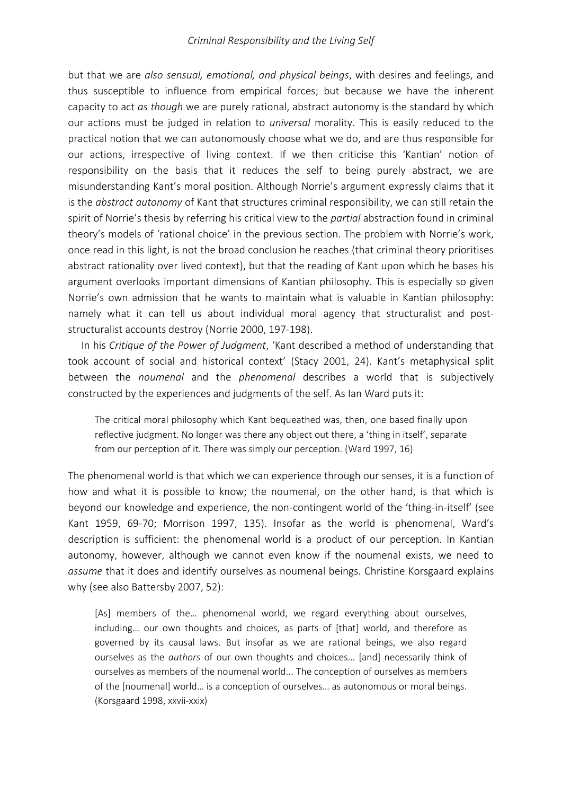but that we are *also sensual, emotional, and physical beings*, with desires and feelings, and thus susceptible to influence from empirical forces; but because we have the inherent capacity to act *as though* we are purely rational, abstract autonomy is the standard by which our actions must be judged in relation to *universal* morality. This is easily reduced to the practical notion that we can autonomously choose what we do, and are thus responsible for our actions, irrespective of living context. If we then criticise this 'Kantian' notion of responsibility on the basis that it reduces the self to being purely abstract, we are misunderstanding Kant's moral position. Although Norrie's argument expressly claims that it is the *abstract autonomy* of Kant that structures criminal responsibility, we can still retain the spirit of Norrie's thesis by referring his critical view to the *partial* abstraction found in criminal theory's models of 'rational choice' in the previous section. The problem with Norrie's work, once read in this light, is not the broad conclusion he reaches (that criminal theory prioritises abstract rationality over lived context), but that the reading of Kant upon which he bases his argument overlooks important dimensions of Kantian philosophy. This is especially so given Norrie's own admission that he wants to maintain what is valuable in Kantian philosophy: namely what it can tell us about individual moral agency that structuralist and poststructuralist accounts destroy (Norrie 2000, 197-198).

In his *Critique of the Power of Judgment*, 'Kant described a method of understanding that took account of social and historical context' (Stacy 2001, 24). Kant's metaphysical split between the *noumenal* and the *phenomenal* describes a world that is subjectively constructed by the experiences and judgments of the self. As Ian Ward puts it:

The critical moral philosophy which Kant bequeathed was, then, one based finally upon reflective judgment. No longer was there any object out there, a 'thing in itself', separate from our perception of it. There was simply our perception. (Ward 1997, 16)

The phenomenal world is that which we can experience through our senses, it is a function of how and what it is possible to know; the noumenal, on the other hand, is that which is beyond our knowledge and experience, the non-contingent world of the 'thing-in-itself' (see Kant 1959, 69-70; Morrison 1997, 135). Insofar as the world is phenomenal, Ward's description is sufficient: the phenomenal world is a product of our perception. In Kantian autonomy, however, although we cannot even know if the noumenal exists, we need to *assume* that it does and identify ourselves as noumenal beings. Christine Korsgaard explains why (see also Battersby 2007, 52):

[As] members of the... phenomenal world, we regard everything about ourselves, including… our own thoughts and choices, as parts of [that] world, and therefore as governed by its causal laws. But insofar as we are rational beings, we also regard ourselves as the *authors* of our own thoughts and choices… [and] necessarily think of ourselves as members of the noumenal world... The conception of ourselves as members of the [noumenal] world… is a conception of ourselves… as autonomous or moral beings. (Korsgaard 1998, xxvii-xxix)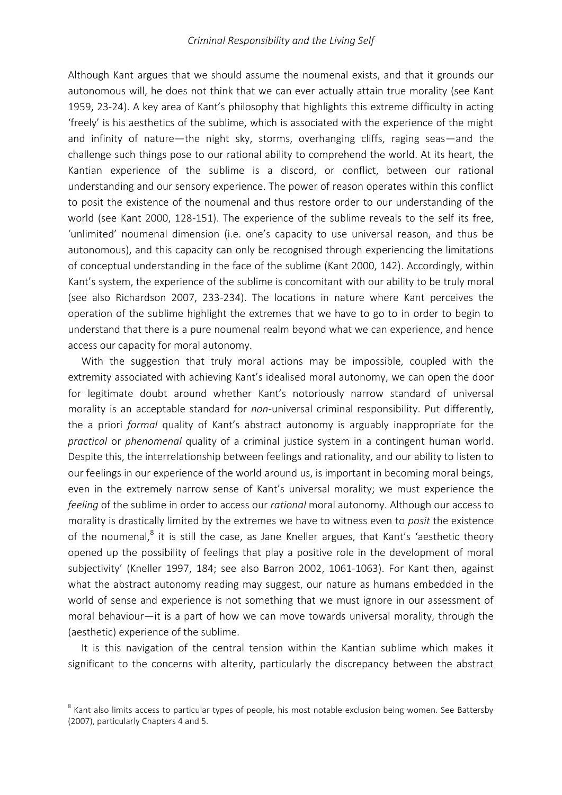Although Kant argues that we should assume the noumenal exists, and that it grounds our autonomous will, he does not think that we can ever actually attain true morality (see Kant 1959, 23-24). A key area of Kant's philosophy that highlights this extreme difficulty in acting 'freely' is his aesthetics of the sublime, which is associated with the experience of the might and infinity of nature—the night sky, storms, overhanging cliffs, raging seas—and the challenge such things pose to our rational ability to comprehend the world. At its heart, the Kantian experience of the sublime is a discord, or conflict, between our rational understanding and our sensory experience. The power of reason operates within this conflict to posit the existence of the noumenal and thus restore order to our understanding of the world (see Kant 2000, 128-151). The experience of the sublime reveals to the self its free, 'unlimited' noumenal dimension (i.e. one's capacity to use universal reason, and thus be autonomous), and this capacity can only be recognised through experiencing the limitations of conceptual understanding in the face of the sublime (Kant 2000, 142). Accordingly, within Kant's system, the experience of the sublime is concomitant with our ability to be truly moral (see also Richardson 2007, 233-234). The locations in nature where Kant perceives the operation of the sublime highlight the extremes that we have to go to in order to begin to understand that there is a pure noumenal realm beyond what we can experience, and hence access our capacity for moral autonomy.

With the suggestion that truly moral actions may be impossible, coupled with the extremity associated with achieving Kant's idealised moral autonomy, we can open the door for legitimate doubt around whether Kant's notoriously narrow standard of universal morality is an acceptable standard for *non*-universal criminal responsibility. Put differently, the a priori *formal* quality of Kant's abstract autonomy is arguably inappropriate for the *practical* or *phenomenal* quality of a criminal justice system in a contingent human world. Despite this, the interrelationship between feelings and rationality, and our ability to listen to our feelings in our experience of the world around us, is important in becoming moral beings, even in the extremely narrow sense of Kant's universal morality; we must experience the *feeling* of the sublime in order to access our *rational* moral autonomy. Although our access to morality is drastically limited by the extremes we have to witness even to *posit* the existence of the noumenal,<sup>8</sup> it is still the case, as Jane Kneller argues, that Kant's 'aesthetic theory opened up the possibility of feelings that play a positive role in the development of moral subjectivity' (Kneller 1997, 184; see also Barron 2002, 1061-1063). For Kant then, against what the abstract autonomy reading may suggest, our nature as humans embedded in the world of sense and experience is not something that we must ignore in our assessment of moral behaviour—it is a part of how we can move towards universal morality, through the (aesthetic) experience of the sublime.

It is this navigation of the central tension within the Kantian sublime which makes it significant to the concerns with alterity, particularly the discrepancy between the abstract

 $8$  Kant also limits access to particular types of people, his most notable exclusion being women. See Battersby (2007), particularly Chapters 4 and 5.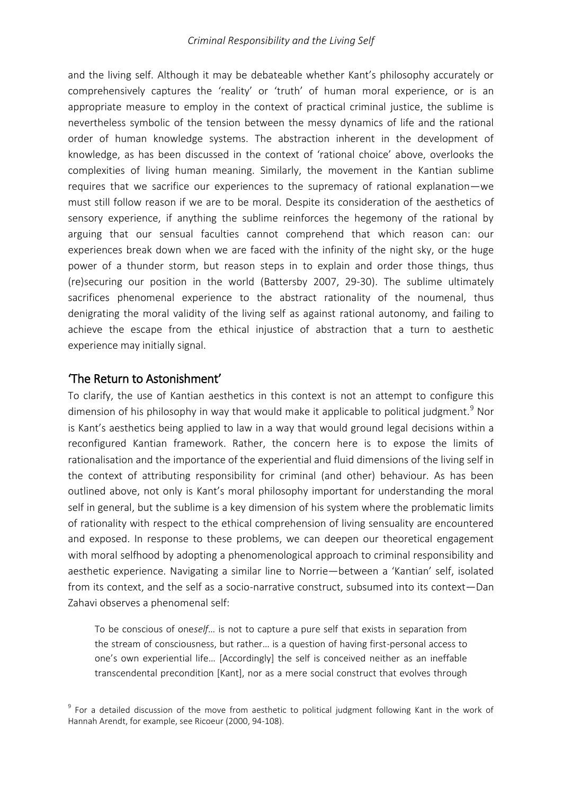and the living self. Although it may be debateable whether Kant's philosophy accurately or comprehensively captures the 'reality' or 'truth' of human moral experience, or is an appropriate measure to employ in the context of practical criminal justice, the sublime is nevertheless symbolic of the tension between the messy dynamics of life and the rational order of human knowledge systems. The abstraction inherent in the development of knowledge, as has been discussed in the context of 'rational choice' above, overlooks the complexities of living human meaning. Similarly, the movement in the Kantian sublime requires that we sacrifice our experiences to the supremacy of rational explanation—we must still follow reason if we are to be moral. Despite its consideration of the aesthetics of sensory experience, if anything the sublime reinforces the hegemony of the rational by arguing that our sensual faculties cannot comprehend that which reason can: our experiences break down when we are faced with the infinity of the night sky, or the huge power of a thunder storm, but reason steps in to explain and order those things, thus (re)securing our position in the world (Battersby 2007, 29-30). The sublime ultimately sacrifices phenomenal experience to the abstract rationality of the noumenal, thus denigrating the moral validity of the living self as against rational autonomy, and failing to achieve the escape from the ethical injustice of abstraction that a turn to aesthetic experience may initially signal.

## 'The Return to Astonishment'

To clarify, the use of Kantian aesthetics in this context is not an attempt to configure this dimension of his philosophy in way that would make it applicable to political judgment.<sup>9</sup> Nor is Kant's aesthetics being applied to law in a way that would ground legal decisions within a reconfigured Kantian framework. Rather, the concern here is to expose the limits of rationalisation and the importance of the experiential and fluid dimensions of the living self in the context of attributing responsibility for criminal (and other) behaviour. As has been outlined above, not only is Kant's moral philosophy important for understanding the moral self in general, but the sublime is a key dimension of his system where the problematic limits of rationality with respect to the ethical comprehension of living sensuality are encountered and exposed. In response to these problems, we can deepen our theoretical engagement with moral selfhood by adopting a phenomenological approach to criminal responsibility and aesthetic experience. Navigating a similar line to Norrie—between a 'Kantian' self, isolated from its context, and the self as a socio-narrative construct, subsumed into its context—Dan Zahavi observes a phenomenal self:

To be conscious of one*self*… is not to capture a pure self that exists in separation from the stream of consciousness, but rather… is a question of having first-personal access to one's own experiential life… [Accordingly] the self is conceived neither as an ineffable transcendental precondition [Kant], nor as a mere social construct that evolves through

<sup>9</sup> For a detailed discussion of the move from aesthetic to political judgment following Kant in the work of Hannah Arendt, for example, see Ricoeur (2000, 94-108).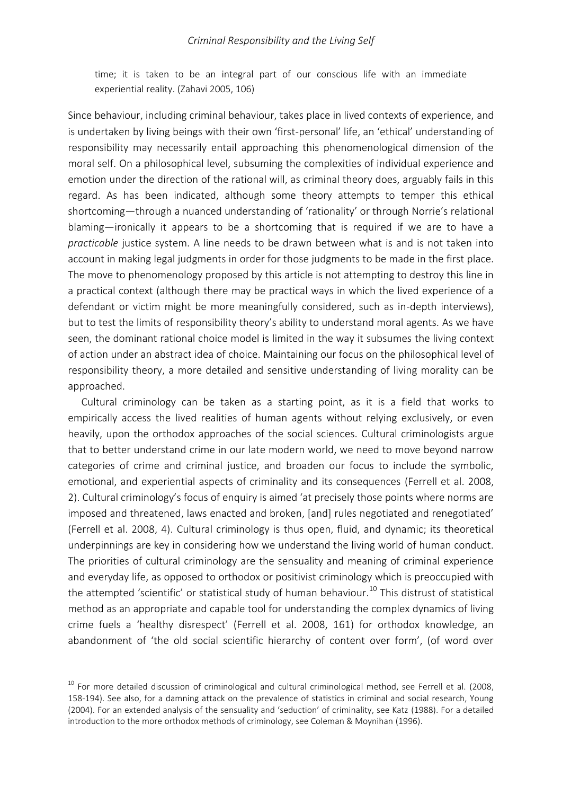time; it is taken to be an integral part of our conscious life with an immediate experiential reality. (Zahavi 2005, 106)

Since behaviour, including criminal behaviour, takes place in lived contexts of experience, and is undertaken by living beings with their own 'first-personal' life, an 'ethical' understanding of responsibility may necessarily entail approaching this phenomenological dimension of the moral self. On a philosophical level, subsuming the complexities of individual experience and emotion under the direction of the rational will, as criminal theory does, arguably fails in this regard. As has been indicated, although some theory attempts to temper this ethical shortcoming—through a nuanced understanding of 'rationality' or through Norrie's relational blaming—ironically it appears to be a shortcoming that is required if we are to have a *practicable* justice system. A line needs to be drawn between what is and is not taken into account in making legal judgments in order for those judgments to be made in the first place. The move to phenomenology proposed by this article is not attempting to destroy this line in a practical context (although there may be practical ways in which the lived experience of a defendant or victim might be more meaningfully considered, such as in-depth interviews), but to test the limits of responsibility theory's ability to understand moral agents. As we have seen, the dominant rational choice model is limited in the way it subsumes the living context of action under an abstract idea of choice. Maintaining our focus on the philosophical level of responsibility theory, a more detailed and sensitive understanding of living morality can be approached.

Cultural criminology can be taken as a starting point, as it is a field that works to empirically access the lived realities of human agents without relying exclusively, or even heavily, upon the orthodox approaches of the social sciences. Cultural criminologists argue that to better understand crime in our late modern world, we need to move beyond narrow categories of crime and criminal justice, and broaden our focus to include the symbolic, emotional, and experiential aspects of criminality and its consequences (Ferrell et al. 2008, 2). Cultural criminology's focus of enquiry is aimed 'at precisely those points where norms are imposed and threatened, laws enacted and broken, [and] rules negotiated and renegotiated' (Ferrell et al. 2008, 4). Cultural criminology is thus open, fluid, and dynamic; its theoretical underpinnings are key in considering how we understand the living world of human conduct. The priorities of cultural criminology are the sensuality and meaning of criminal experience and everyday life, as opposed to orthodox or positivist criminology which is preoccupied with the attempted 'scientific' or statistical study of human behaviour.<sup>10</sup> This distrust of statistical method as an appropriate and capable tool for understanding the complex dynamics of living crime fuels a 'healthy disrespect' (Ferrell et al. 2008, 161) for orthodox knowledge, an abandonment of 'the old social scientific hierarchy of content over form', (of word over

<sup>&</sup>lt;sup>10</sup> For more detailed discussion of criminological and cultural criminological method, see Ferrell et al. (2008, 158-194). See also, for a damning attack on the prevalence of statistics in criminal and social research, Young (2004). For an extended analysis of the sensuality and 'seduction' of criminality, see Katz (1988). For a detailed introduction to the more orthodox methods of criminology, see Coleman & Moynihan (1996).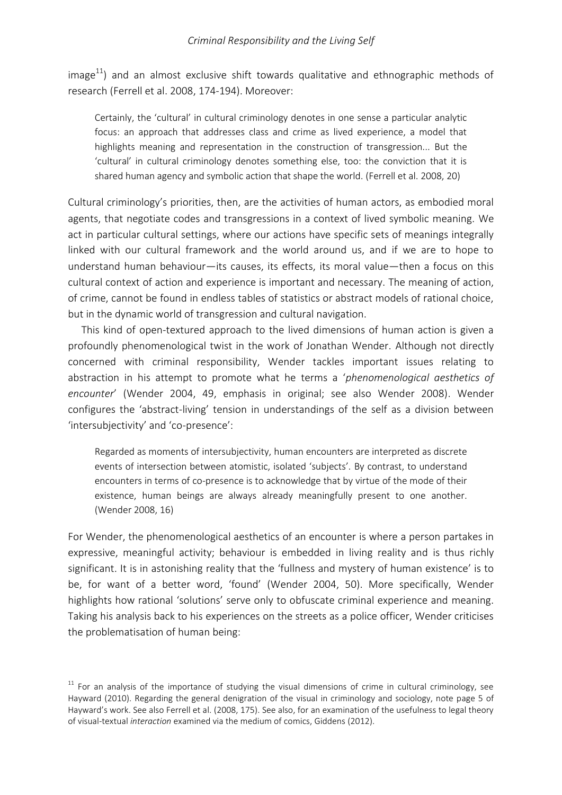image<sup>11</sup>) and an almost exclusive shift towards qualitative and ethnographic methods of research (Ferrell et al. 2008, 174-194). Moreover:

Certainly, the 'cultural' in cultural criminology denotes in one sense a particular analytic focus: an approach that addresses class and crime as lived experience, a model that highlights meaning and representation in the construction of transgression... But the 'cultural' in cultural criminology denotes something else, too: the conviction that it is shared human agency and symbolic action that shape the world. (Ferrell et al. 2008, 20)

Cultural criminology's priorities, then, are the activities of human actors, as embodied moral agents, that negotiate codes and transgressions in a context of lived symbolic meaning. We act in particular cultural settings, where our actions have specific sets of meanings integrally linked with our cultural framework and the world around us, and if we are to hope to understand human behaviour—its causes, its effects, its moral value—then a focus on this cultural context of action and experience is important and necessary. The meaning of action, of crime, cannot be found in endless tables of statistics or abstract models of rational choice, but in the dynamic world of transgression and cultural navigation.

This kind of open-textured approach to the lived dimensions of human action is given a profoundly phenomenological twist in the work of Jonathan Wender. Although not directly concerned with criminal responsibility, Wender tackles important issues relating to abstraction in his attempt to promote what he terms a '*phenomenological aesthetics of encounter*' (Wender 2004, 49, emphasis in original; see also Wender 2008). Wender configures the 'abstract-living' tension in understandings of the self as a division between 'intersubjectivity' and 'co-presence':

Regarded as moments of intersubjectivity, human encounters are interpreted as discrete events of intersection between atomistic, isolated 'subjects'. By contrast, to understand encounters in terms of co-presence is to acknowledge that by virtue of the mode of their existence, human beings are always already meaningfully present to one another. (Wender 2008, 16)

For Wender, the phenomenological aesthetics of an encounter is where a person partakes in expressive, meaningful activity; behaviour is embedded in living reality and is thus richly significant. It is in astonishing reality that the 'fullness and mystery of human existence' is to be, for want of a better word, 'found' (Wender 2004, 50). More specifically, Wender highlights how rational 'solutions' serve only to obfuscate criminal experience and meaning. Taking his analysis back to his experiences on the streets as a police officer, Wender criticises the problematisation of human being:

 $11$  For an analysis of the importance of studying the visual dimensions of crime in cultural criminology, see Hayward (2010). Regarding the general denigration of the visual in criminology and sociology, note page 5 of Hayward's work. See also Ferrell et al. (2008, 175). See also, for an examination of the usefulness to legal theory of visual-textual *interaction* examined via the medium of comics, Giddens (2012).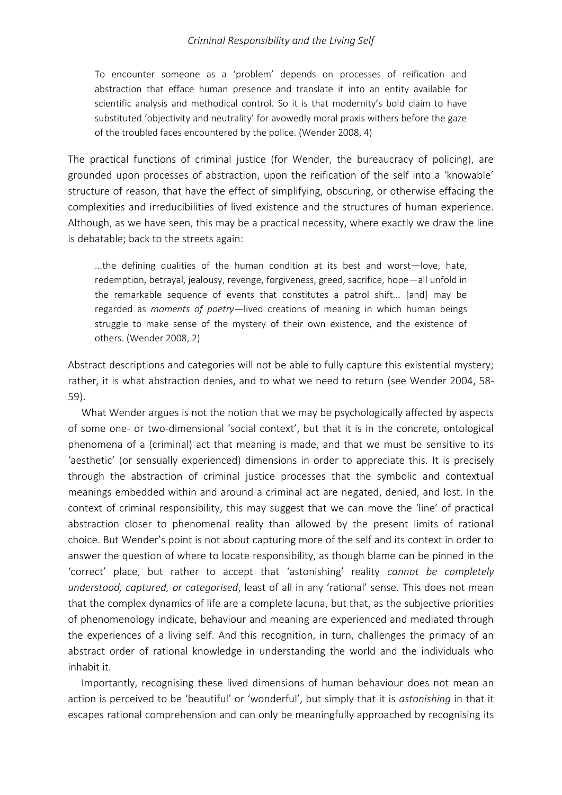#### *Criminal Responsibility and the Living Self*

To encounter someone as a 'problem' depends on processes of reification and abstraction that efface human presence and translate it into an entity available for scientific analysis and methodical control. So it is that modernity's bold claim to have substituted 'objectivity and neutrality' for avowedly moral praxis withers before the gaze of the troubled faces encountered by the police. (Wender 2008, 4)

The practical functions of criminal justice (for Wender, the bureaucracy of policing), are grounded upon processes of abstraction, upon the reification of the self into a 'knowable' structure of reason, that have the effect of simplifying, obscuring, or otherwise effacing the complexities and irreducibilities of lived existence and the structures of human experience. Although, as we have seen, this may be a practical necessity, where exactly we draw the line is debatable; back to the streets again:

...the defining qualities of the human condition at its best and worst—love, hate, redemption, betrayal, jealousy, revenge, forgiveness, greed, sacrifice, hope—all unfold in the remarkable sequence of events that constitutes a patrol shift... [and] may be regarded as *moments of poetry*—lived creations of meaning in which human beings struggle to make sense of the mystery of their own existence, and the existence of others. (Wender 2008, 2)

Abstract descriptions and categories will not be able to fully capture this existential mystery; rather, it is what abstraction denies, and to what we need to return (see Wender 2004, 58- 59).

What Wender argues is not the notion that we may be psychologically affected by aspects of some one- or two-dimensional 'social context', but that it is in the concrete, ontological phenomena of a (criminal) act that meaning is made, and that we must be sensitive to its 'aesthetic' (or sensually experienced) dimensions in order to appreciate this. It is precisely through the abstraction of criminal justice processes that the symbolic and contextual meanings embedded within and around a criminal act are negated, denied, and lost. In the context of criminal responsibility, this may suggest that we can move the 'line' of practical abstraction closer to phenomenal reality than allowed by the present limits of rational choice. But Wender's point is not about capturing more of the self and its context in order to answer the question of where to locate responsibility, as though blame can be pinned in the 'correct' place, but rather to accept that 'astonishing' reality *cannot be completely understood, captured, or categorised*, least of all in any 'rational' sense. This does not mean that the complex dynamics of life are a complete lacuna, but that, as the subjective priorities of phenomenology indicate, behaviour and meaning are experienced and mediated through the experiences of a living self. And this recognition, in turn, challenges the primacy of an abstract order of rational knowledge in understanding the world and the individuals who inhabit it.

Importantly, recognising these lived dimensions of human behaviour does not mean an action is perceived to be 'beautiful' or 'wonderful', but simply that it is *astonishing* in that it escapes rational comprehension and can only be meaningfully approached by recognising its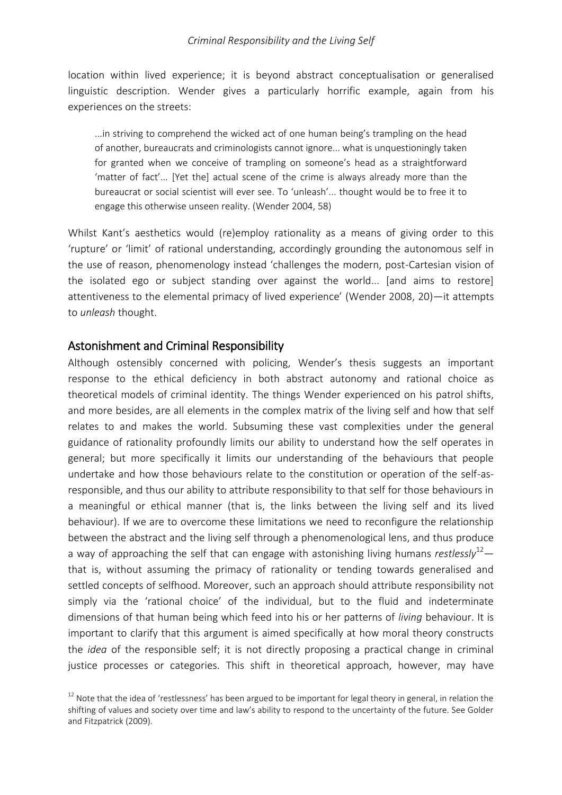location within lived experience; it is beyond abstract conceptualisation or generalised linguistic description. Wender gives a particularly horrific example, again from his experiences on the streets:

...in striving to comprehend the wicked act of one human being's trampling on the head of another, bureaucrats and criminologists cannot ignore... what is unquestioningly taken for granted when we conceive of trampling on someone's head as a straightforward 'matter of fact'... [Yet the] actual scene of the crime is always already more than the bureaucrat or social scientist will ever see. To 'unleash'... thought would be to free it to engage this otherwise unseen reality. (Wender 2004, 58)

Whilst Kant's aesthetics would (re)employ rationality as a means of giving order to this 'rupture' or 'limit' of rational understanding, accordingly grounding the autonomous self in the use of reason, phenomenology instead 'challenges the modern, post-Cartesian vision of the isolated ego or subject standing over against the world... [and aims to restore] attentiveness to the elemental primacy of lived experience' (Wender 2008, 20)—it attempts to *unleash* thought.

## Astonishment and Criminal Responsibility

Although ostensibly concerned with policing, Wender's thesis suggests an important response to the ethical deficiency in both abstract autonomy and rational choice as theoretical models of criminal identity. The things Wender experienced on his patrol shifts, and more besides, are all elements in the complex matrix of the living self and how that self relates to and makes the world. Subsuming these vast complexities under the general guidance of rationality profoundly limits our ability to understand how the self operates in general; but more specifically it limits our understanding of the behaviours that people undertake and how those behaviours relate to the constitution or operation of the self-asresponsible, and thus our ability to attribute responsibility to that self for those behaviours in a meaningful or ethical manner (that is, the links between the living self and its lived behaviour). If we are to overcome these limitations we need to reconfigure the relationship between the abstract and the living self through a phenomenological lens, and thus produce a way of approaching the self that can engage with astonishing living humans *restlessly*<sup>12</sup> that is, without assuming the primacy of rationality or tending towards generalised and settled concepts of selfhood. Moreover, such an approach should attribute responsibility not simply via the 'rational choice' of the individual, but to the fluid and indeterminate dimensions of that human being which feed into his or her patterns of *living* behaviour. It is important to clarify that this argument is aimed specifically at how moral theory constructs the *idea* of the responsible self; it is not directly proposing a practical change in criminal justice processes or categories. This shift in theoretical approach, however, may have

 $12$  Note that the idea of 'restlessness' has been argued to be important for legal theory in general, in relation the shifting of values and society over time and law's ability to respond to the uncertainty of the future. See Golder and Fitzpatrick (2009).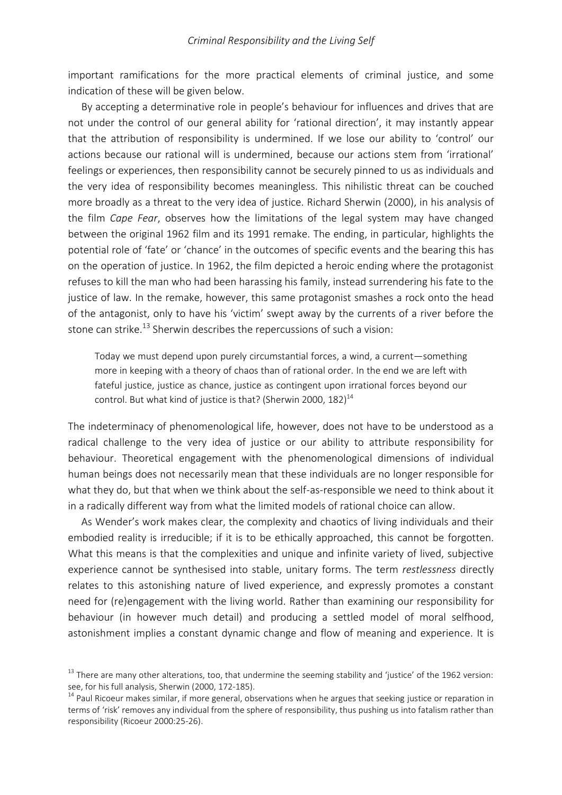important ramifications for the more practical elements of criminal justice, and some indication of these will be given below.

By accepting a determinative role in people's behaviour for influences and drives that are not under the control of our general ability for 'rational direction', it may instantly appear that the attribution of responsibility is undermined. If we lose our ability to 'control' our actions because our rational will is undermined, because our actions stem from 'irrational' feelings or experiences, then responsibility cannot be securely pinned to us as individuals and the very idea of responsibility becomes meaningless. This nihilistic threat can be couched more broadly as a threat to the very idea of justice. Richard Sherwin (2000), in his analysis of the film *Cape Fear*, observes how the limitations of the legal system may have changed between the original 1962 film and its 1991 remake. The ending, in particular, highlights the potential role of 'fate' or 'chance' in the outcomes of specific events and the bearing this has on the operation of justice. In 1962, the film depicted a heroic ending where the protagonist refuses to kill the man who had been harassing his family, instead surrendering his fate to the justice of law. In the remake, however, this same protagonist smashes a rock onto the head of the antagonist, only to have his 'victim' swept away by the currents of a river before the stone can strike.<sup>13</sup> Sherwin describes the repercussions of such a vision:

Today we must depend upon purely circumstantial forces, a wind, a current—something more in keeping with a theory of chaos than of rational order. In the end we are left with fateful justice, justice as chance, justice as contingent upon irrational forces beyond our control. But what kind of justice is that? (Sherwin 2000, 182)<sup>14</sup>

The indeterminacy of phenomenological life, however, does not have to be understood as a radical challenge to the very idea of justice or our ability to attribute responsibility for behaviour. Theoretical engagement with the phenomenological dimensions of individual human beings does not necessarily mean that these individuals are no longer responsible for what they do, but that when we think about the self-as-responsible we need to think about it in a radically different way from what the limited models of rational choice can allow.

As Wender's work makes clear, the complexity and chaotics of living individuals and their embodied reality is irreducible; if it is to be ethically approached, this cannot be forgotten. What this means is that the complexities and unique and infinite variety of lived, subjective experience cannot be synthesised into stable, unitary forms. The term *restlessness* directly relates to this astonishing nature of lived experience, and expressly promotes a constant need for (re)engagement with the living world. Rather than examining our responsibility for behaviour (in however much detail) and producing a settled model of moral selfhood, astonishment implies a constant dynamic change and flow of meaning and experience. It is

 $13$  There are many other alterations, too, that undermine the seeming stability and 'justice' of the 1962 version: see, for his full analysis, Sherwin (2000, 172-185).

 $14$  Paul Ricoeur makes similar, if more general, observations when he argues that seeking justice or reparation in terms of 'risk' removes any individual from the sphere of responsibility, thus pushing us into fatalism rather than responsibility (Ricoeur 2000:25-26).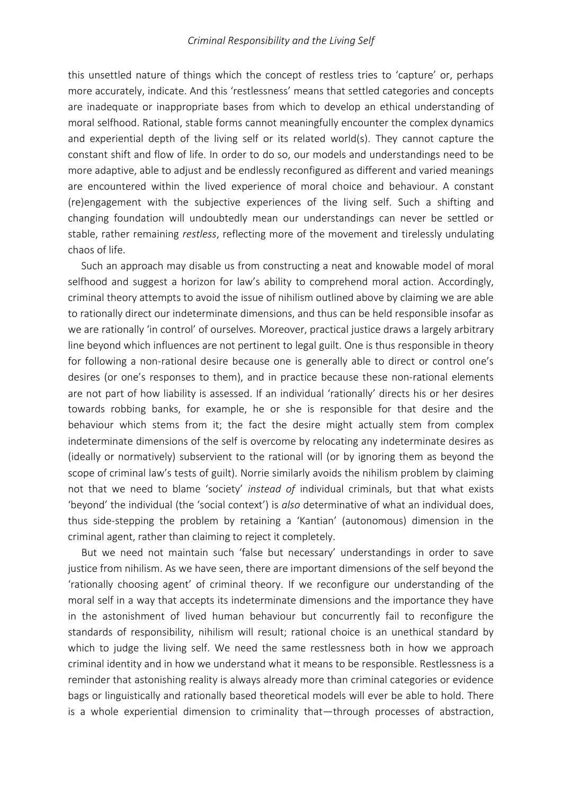this unsettled nature of things which the concept of restless tries to 'capture' or, perhaps more accurately, indicate. And this 'restlessness' means that settled categories and concepts are inadequate or inappropriate bases from which to develop an ethical understanding of moral selfhood. Rational, stable forms cannot meaningfully encounter the complex dynamics and experiential depth of the living self or its related world(s). They cannot capture the constant shift and flow of life. In order to do so, our models and understandings need to be more adaptive, able to adjust and be endlessly reconfigured as different and varied meanings are encountered within the lived experience of moral choice and behaviour. A constant (re)engagement with the subjective experiences of the living self. Such a shifting and changing foundation will undoubtedly mean our understandings can never be settled or stable, rather remaining *restless*, reflecting more of the movement and tirelessly undulating chaos of life.

Such an approach may disable us from constructing a neat and knowable model of moral selfhood and suggest a horizon for law's ability to comprehend moral action. Accordingly, criminal theory attempts to avoid the issue of nihilism outlined above by claiming we are able to rationally direct our indeterminate dimensions, and thus can be held responsible insofar as we are rationally 'in control' of ourselves. Moreover, practical justice draws a largely arbitrary line beyond which influences are not pertinent to legal guilt. One is thus responsible in theory for following a non-rational desire because one is generally able to direct or control one's desires (or one's responses to them), and in practice because these non-rational elements are not part of how liability is assessed. If an individual 'rationally' directs his or her desires towards robbing banks, for example, he or she is responsible for that desire and the behaviour which stems from it; the fact the desire might actually stem from complex indeterminate dimensions of the self is overcome by relocating any indeterminate desires as (ideally or normatively) subservient to the rational will (or by ignoring them as beyond the scope of criminal law's tests of guilt). Norrie similarly avoids the nihilism problem by claiming not that we need to blame 'society' *instead of* individual criminals, but that what exists 'beyond' the individual (the 'social context') is *also* determinative of what an individual does, thus side-stepping the problem by retaining a 'Kantian' (autonomous) dimension in the criminal agent, rather than claiming to reject it completely.

But we need not maintain such 'false but necessary' understandings in order to save justice from nihilism. As we have seen, there are important dimensions of the self beyond the 'rationally choosing agent' of criminal theory. If we reconfigure our understanding of the moral self in a way that accepts its indeterminate dimensions and the importance they have in the astonishment of lived human behaviour but concurrently fail to reconfigure the standards of responsibility, nihilism will result; rational choice is an unethical standard by which to judge the living self. We need the same restlessness both in how we approach criminal identity and in how we understand what it means to be responsible. Restlessness is a reminder that astonishing reality is always already more than criminal categories or evidence bags or linguistically and rationally based theoretical models will ever be able to hold. There is a whole experiential dimension to criminality that—through processes of abstraction,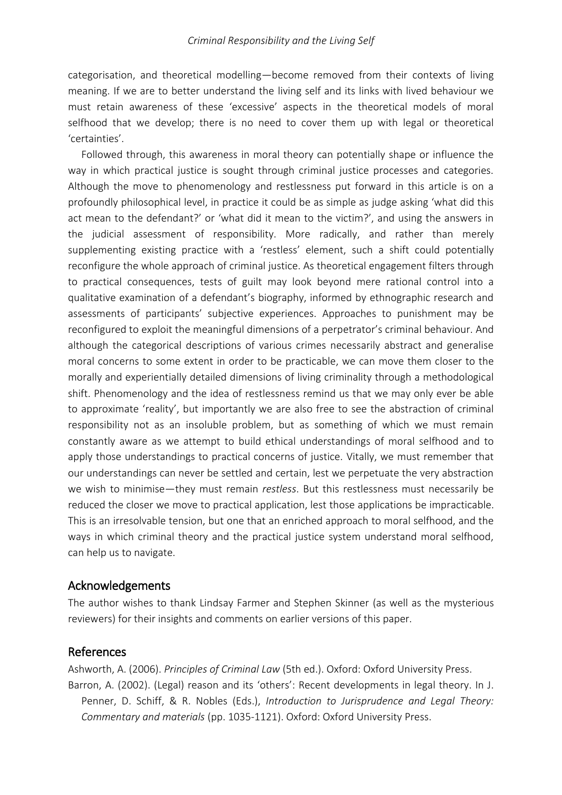categorisation, and theoretical modelling—become removed from their contexts of living meaning. If we are to better understand the living self and its links with lived behaviour we must retain awareness of these 'excessive' aspects in the theoretical models of moral selfhood that we develop; there is no need to cover them up with legal or theoretical 'certainties'.

Followed through, this awareness in moral theory can potentially shape or influence the way in which practical justice is sought through criminal justice processes and categories. Although the move to phenomenology and restlessness put forward in this article is on a profoundly philosophical level, in practice it could be as simple as judge asking 'what did this act mean to the defendant?' or 'what did it mean to the victim?', and using the answers in the judicial assessment of responsibility. More radically, and rather than merely supplementing existing practice with a 'restless' element, such a shift could potentially reconfigure the whole approach of criminal justice. As theoretical engagement filters through to practical consequences, tests of guilt may look beyond mere rational control into a qualitative examination of a defendant's biography, informed by ethnographic research and assessments of participants' subjective experiences. Approaches to punishment may be reconfigured to exploit the meaningful dimensions of a perpetrator's criminal behaviour. And although the categorical descriptions of various crimes necessarily abstract and generalise moral concerns to some extent in order to be practicable, we can move them closer to the morally and experientially detailed dimensions of living criminality through a methodological shift. Phenomenology and the idea of restlessness remind us that we may only ever be able to approximate 'reality', but importantly we are also free to see the abstraction of criminal responsibility not as an insoluble problem, but as something of which we must remain constantly aware as we attempt to build ethical understandings of moral selfhood and to apply those understandings to practical concerns of justice. Vitally, we must remember that our understandings can never be settled and certain, lest we perpetuate the very abstraction we wish to minimise—they must remain *restless*. But this restlessness must necessarily be reduced the closer we move to practical application, lest those applications be impracticable. This is an irresolvable tension, but one that an enriched approach to moral selfhood, and the ways in which criminal theory and the practical justice system understand moral selfhood, can help us to navigate.

#### Acknowledgements

The author wishes to thank Lindsay Farmer and Stephen Skinner (as well as the mysterious reviewers) for their insights and comments on earlier versions of this paper.

#### References

Ashworth, A. (2006). *Principles of Criminal Law* (5th ed.). Oxford: Oxford University Press. Barron, A. (2002). (Legal) reason and its 'others': Recent developments in legal theory. In J. Penner, D. Schiff, & R. Nobles (Eds.), *Introduction to Jurisprudence and Legal Theory: Commentary and materials* (pp. 1035-1121). Oxford: Oxford University Press.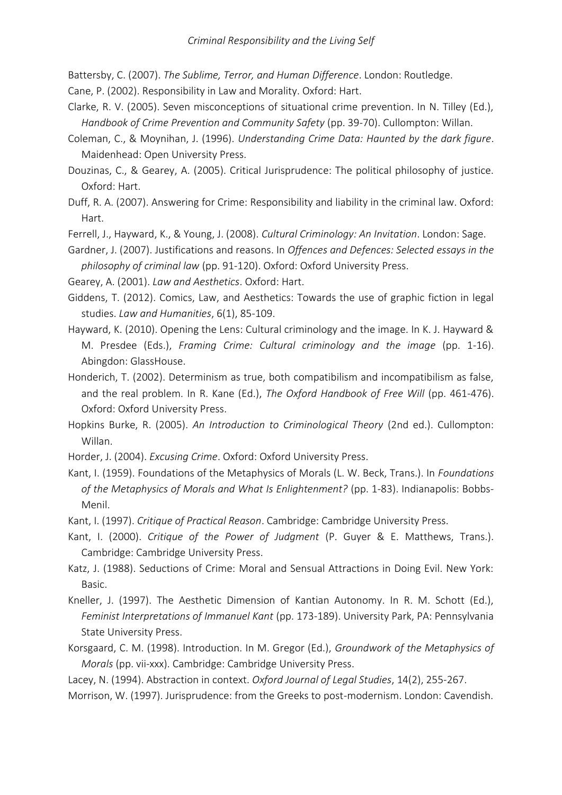Battersby, C. (2007). *The Sublime, Terror, and Human Difference*. London: Routledge.

Cane, P. (2002). Responsibility in Law and Morality. Oxford: Hart.

Clarke, R. V. (2005). Seven misconceptions of situational crime prevention. In N. Tilley (Ed.), *Handbook of Crime Prevention and Community Safety* (pp. 39-70). Cullompton: Willan.

Coleman, C., & Moynihan, J. (1996). *Understanding Crime Data: Haunted by the dark figure*. Maidenhead: Open University Press.

Douzinas, C., & Gearey, A. (2005). Critical Jurisprudence: The political philosophy of justice. Oxford: Hart.

Duff, R. A. (2007). Answering for Crime: Responsibility and liability in the criminal law. Oxford: Hart.

Ferrell, J., Hayward, K., & Young, J. (2008). *Cultural Criminology: An Invitation*. London: Sage.

Gardner, J. (2007). Justifications and reasons. In *Offences and Defences: Selected essays in the philosophy of criminal law* (pp. 91-120). Oxford: Oxford University Press.

Gearey, A. (2001). *Law and Aesthetics*. Oxford: Hart.

Giddens, T. (2012). Comics, Law, and Aesthetics: Towards the use of graphic fiction in legal studies. *Law and Humanities*, 6(1), 85-109.

Hayward, K. (2010). Opening the Lens: Cultural criminology and the image. In K. J. Hayward & M. Presdee (Eds.), *Framing Crime: Cultural criminology and the image* (pp. 1-16). Abingdon: GlassHouse.

Honderich, T. (2002). Determinism as true, both compatibilism and incompatibilism as false, and the real problem. In R. Kane (Ed.), *The Oxford Handbook of Free Will* (pp. 461-476). Oxford: Oxford University Press.

Hopkins Burke, R. (2005). *An Introduction to Criminological Theory* (2nd ed.). Cullompton: Willan.

Horder, J. (2004). *Excusing Crime*. Oxford: Oxford University Press.

Kant, I. (1959). Foundations of the Metaphysics of Morals (L. W. Beck, Trans.). In *Foundations of the Metaphysics of Morals and What Is Enlightenment?* (pp. 1-83). Indianapolis: Bobbs-Menil.

Kant, I. (1997). *Critique of Practical Reason*. Cambridge: Cambridge University Press.

Kant, I. (2000). *Critique of the Power of Judgment* (P. Guyer & E. Matthews, Trans.). Cambridge: Cambridge University Press.

Katz, J. (1988). Seductions of Crime: Moral and Sensual Attractions in Doing Evil. New York: Basic.

Kneller, J. (1997). The Aesthetic Dimension of Kantian Autonomy. In R. M. Schott (Ed.), *Feminist Interpretations of Immanuel Kant* (pp. 173-189). University Park, PA: Pennsylvania State University Press.

Korsgaard, C. M. (1998). Introduction. In M. Gregor (Ed.), *Groundwork of the Metaphysics of Morals* (pp. vii-xxx). Cambridge: Cambridge University Press.

Lacey, N. (1994). Abstraction in context. *Oxford Journal of Legal Studies*, 14(2), 255-267.

Morrison, W. (1997). Jurisprudence: from the Greeks to post-modernism. London: Cavendish.